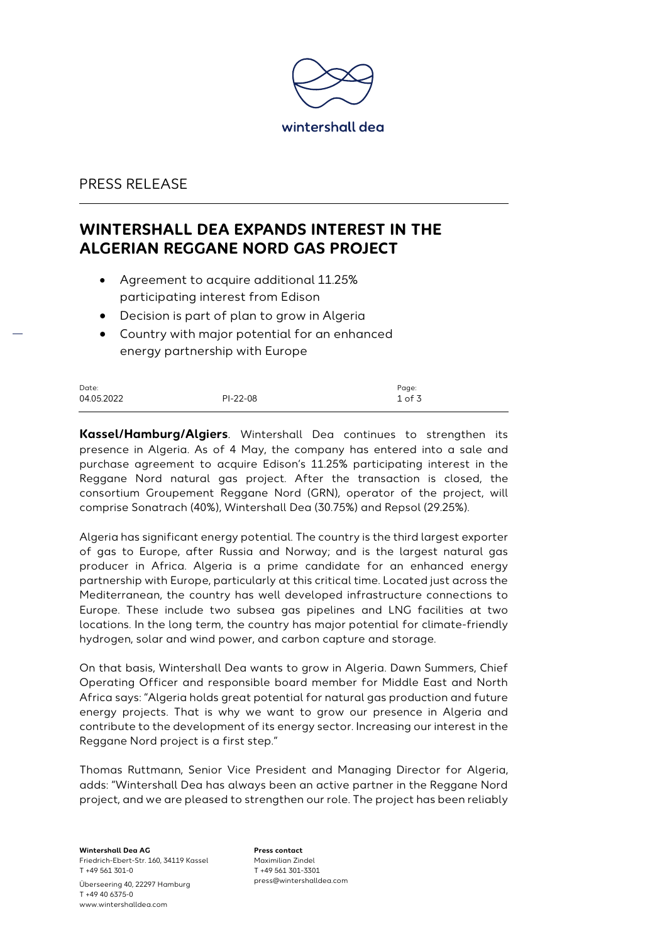

#### PRESS RELEASE

# **WINTERSHALL DEA EXPANDS INTEREST IN THE ALGERIAN REGGANE NORD GAS PROJECT**

- Agreement to acquire additional 11.25% participating interest from Edison
- Decision is part of plan to grow in Algeria
- Country with major potential for an enhanced energy partnership with Europe

| Date:      |            | Page:    |
|------------|------------|----------|
| 04.05.2022 | $PI-22-08$ | $1$ of 3 |

**Kassel/Hamburg/Algiers**. Wintershall Dea continues to strengthen its presence in Algeria. As of 4 May, the company has entered into a sale and purchase agreement to acquire Edison's 11.25% participating interest in the Reggane Nord natural gas project. After the transaction is closed, the consortium Groupement Reggane Nord (GRN), operator of the project, will comprise Sonatrach (40%), Wintershall Dea (30.75%) and Repsol (29.25%).

Algeria has significant energy potential. The country is the third largest exporter of gas to Europe, after Russia and Norway; and is the largest natural gas producer in Africa. Algeria is a prime candidate for an enhanced energy partnership with Europe, particularly at this critical time. Located just across the Mediterranean, the country has well developed infrastructure connections to Europe. These include two subsea gas pipelines and LNG facilities at two locations. In the long term, the country has major potential for climate-friendly hydrogen, solar and wind power, and carbon capture and storage.

On that basis, Wintershall Dea wants to grow in Algeria. Dawn Summers, Chief Operating Officer and responsible board member for Middle East and North Africa says: "Algeria holds great potential for natural gas production and future energy projects. That is why we want to grow our presence in Algeria and contribute to the development of its energy sector. Increasing our interest in the Reggane Nord project is a first step."

Thomas Ruttmann, Senior Vice President and Managing Director for Algeria, adds: "Wintershall Dea has always been an active partner in the Reggane Nord project, and we are pleased to strengthen our role. The project has been reliably

**Wintershall Dea AG** Friedrich-Ebert-Str. 160, 34119 Kassel T +49 561 301-0 Überseering 40, 22297 Hamburg T +49 40 6375-0 www.wintershalldea.com

**Press contact** Maximilian Zindel T +49 561 301-3301 press@wintershalldea.com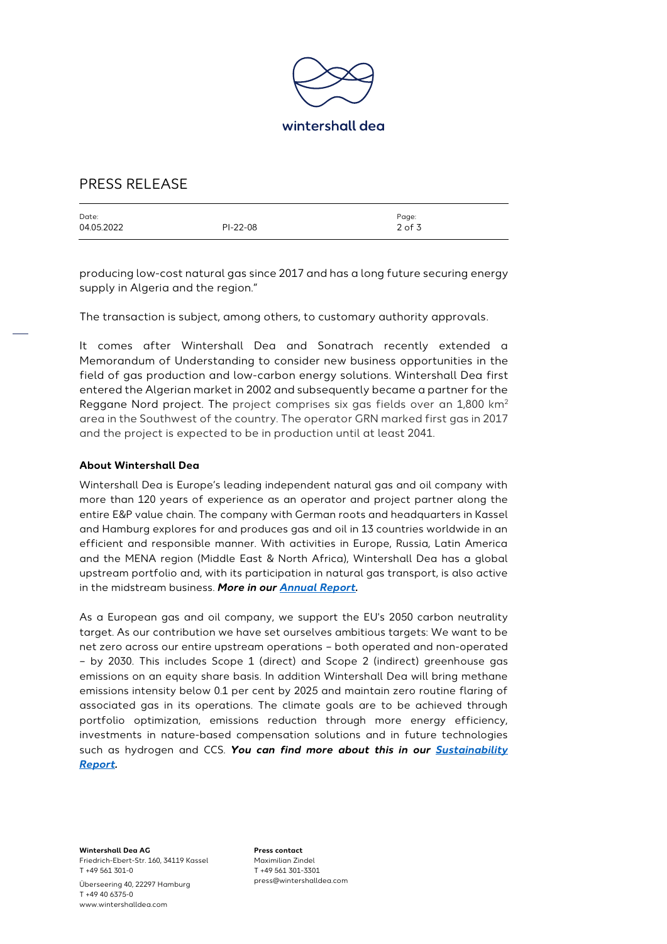

## PRESS RELEASE

| Date:      |            | Page:      |
|------------|------------|------------|
| 04.05.2022 | $PI-22-08$ | $2$ of $3$ |
|            |            |            |

producing low-cost natural gas since 2017 and has a long future securing energy supply in Algeria and the region."

The transaction is subject, among others, to customary authority approvals.

It comes after Wintershall Dea and Sonatrach recently extended a Memorandum of Understanding to consider new business opportunities in the field of gas production and low-carbon energy solutions. Wintershall Dea first entered the Algerian market in 2002 and subsequently became a partner for the Reggane Nord project. The project comprises six gas fields over an 1,800 km<sup>2</sup> area in the Southwest of the country. The operator GRN marked first gas in 2017 and the project is expected to be in production until at least 2041.

#### **About Wintershall Dea**

Wintershall Dea is Europe's leading independent natural gas and oil company with more than 120 years of experience as an operator and project partner along the entire E&P value chain. The company with German roots and headquarters in Kassel and Hamburg explores for and produces gas and oil in 13 countries worldwide in an efficient and responsible manner. With activities in Europe, Russia, Latin America and the MENA region (Middle East & North Africa), Wintershall Dea has a global upstream portfolio and, with its participation in natural gas transport, is also active in the midstream business. *More in ou[r Annual Report.](https://wintershalldea.com/en/investor-relations/2021-annual-report)*

As a European gas and oil company, we support the EU's 2050 carbon neutrality target. As our contribution we have set ourselves ambitious targets: We want to be net zero across our entire upstream operations – both operated and non-operated – by 2030. This includes Scope 1 (direct) and Scope 2 (indirect) greenhouse gas emissions on an equity share basis. In addition Wintershall Dea will bring methane emissions intensity below 0.1 per cent by 2025 and maintain zero routine flaring of associated gas in its operations. The climate goals are to be achieved through portfolio optimization, emissions reduction through more energy efficiency, investments in nature-based compensation solutions and in future technologies such as hydrogen and CCS. *You can find more about this in our [Sustainability](https://wintershalldea.com/en/newsroom/sustainability-report-2020)  [Report.](https://wintershalldea.com/en/newsroom/sustainability-report-2020)*

**Wintershall Dea AG** Friedrich-Ebert-Str. 160, 34119 Kassel T +49 561 301-0 Überseering 40, 22297 Hamburg T +49 40 6375-0 www.wintershalldea.com

**Press contact** Maximilian Zindel T +49 561 301-3301 press@wintershalldea.com